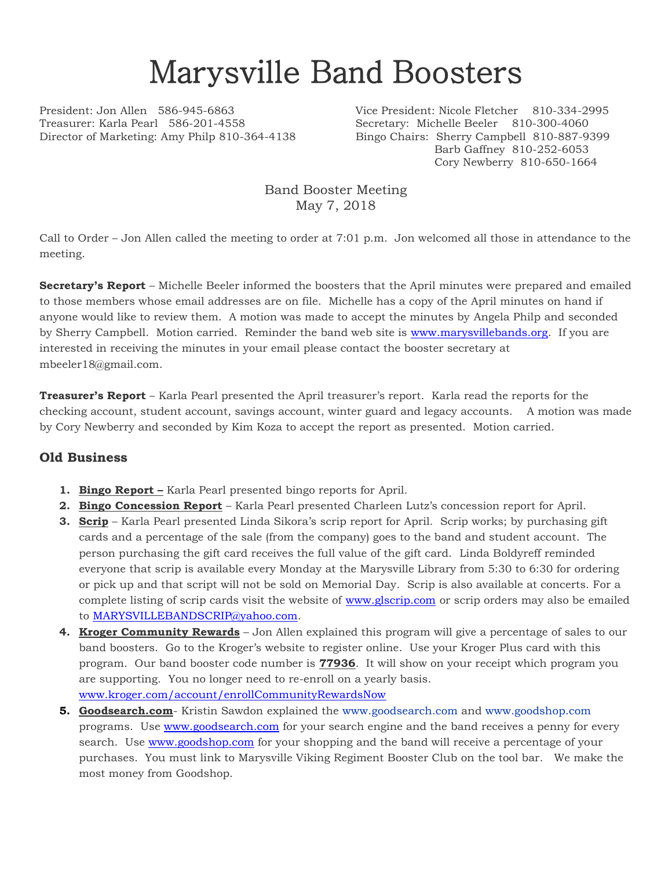## Marysville Band Boosters

Treasurer: Karla Pearl 586-201-4558 Secretary: Michelle Beeler 810-300-4060 Director of Marketing: Amy Philp 810-364-4138 Bingo Chairs: Sherry Campbell 810-887-9399

President: Jon Allen 586-945-6863 Vice President: Nicole Fletcher 810-334-2995 Barb Gaffney 810-252-6053 Cory Newberry 810-650-1664

> Band Booster Meeting May 7, 2018

Call to Order – Jon Allen called the meeting to order at 7:01 p.m. Jon welcomed all those in attendance to the meeting.

**Secretary's Report** – Michelle Beeler informed the boosters that the April minutes were prepared and emailed to those members whose email addresses are on file. Michelle has a copy of the April minutes on hand if anyone would like to review them. A motion was made to accept the minutes by Angela Philp and seconded by Sherry Campbell. Motion carried. Reminder the band web site is [www.marysvillebands.org.](http://www.marysvillebands.org/) If you are interested in receiving the minutes in your email please contact the booster secretary at mbeeler18@gmail.com.

**Treasurer's Report** – Karla Pearl presented the April treasurer's report. Karla read the reports for the checking account, student account, savings account, winter guard and legacy accounts. A motion was made by Cory Newberry and seconded by Kim Koza to accept the report as presented. Motion carried.

## **Old Business**

- **1. Bingo Report –** Karla Pearl presented bingo reports for April.
- **2. Bingo Concession Report** Karla Pearl presented Charleen Lutz's concession report for April.
- **3. Scrip** Karla Pearl presented Linda Sikora's scrip report for April. Scrip works; by purchasing gift cards and a percentage of the sale (from the company) goes to the band and student account. The person purchasing the gift card receives the full value of the gift card. Linda Boldyreff reminded everyone that scrip is available every Monday at the Marysville Library from 5:30 to 6:30 for ordering or pick up and that script will not be sold on Memorial Day. Scrip is also available at concerts. For a complete listing of scrip cards visit the website of [www.glscrip.com](http://www.glscrip.com/) or scrip orders may also be emailed to **MARYSVILLEBANDSCRIP@yahoo.com.**
- **4. Kroger Community Rewards** Jon Allen explained this program will give a percentage of sales to our band boosters. Go to the Kroger's website to register online. Use your Kroger Plus card with this program. Our band booster code number is **77936**. It will show on your receipt which program you are supporting. You no longer need to re-enroll on a yearly basis. [www.kroger.com/account/enrollCommunityRewardsNow](http://www.kroger.com/account/enrollCommunityRewardsNow)
- **5. Goodsearch.com** Kristin Sawdon explained the [www.goodsearch.com](http://www.goodsearch.com/) and [www.goodshop.com](http://www.goodshop.com/) programs. Use [www.goodsearch.com](http://www.goodsearch.com/) for your search engine and the band receives a penny for every search. Use [www.goodshop.com](http://www.goodshop.com/) for your shopping and the band will receive a percentage of your purchases. You must link to Marysville Viking Regiment Booster Club on the tool bar. We make the most money from Goodshop.